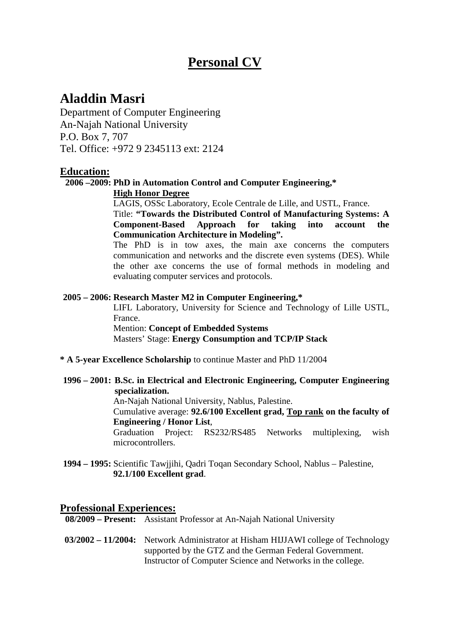# **Personal CV**

# **Aladdin Masri**

Department of Computer Engineering An-Najah National University P.O. Box 7, 707 Tel. Office: +972 9 2345113 ext: 2124

#### **Education:**

#### **2006 –2009: PhD in Automation Control and Computer Engineering,\***

**High Honor Degree**

LAGIS, OSSc Laboratory, Ecole Centrale de Lille, and USTL, France. Title: **"Towards the Distributed Control of Manufacturing Systems: A Component-Based Approach for taking into account the Communication Architecture in Modeling".** 

The PhD is in tow axes, the main axe concerns the computers communication and networks and the discrete even systems (DES). While the other axe concerns the use of formal methods in modeling and evaluating computer services and protocols.

#### **2005 – 2006: Research Master M2 in Computer Engineering,\***

LIFL Laboratory, University for Science and Technology of Lille USTL, France. Mention: **Concept of Embedded Systems** Masters' Stage: **Energy Consumption and TCP/IP Stack**

**\* A 5-year Excellence Scholarship** to continue Master and PhD 11/2004

#### **1996 – 2001: B.Sc. in Electrical and Electronic Engineering, Computer Engineering specialization.**

An-Najah National University, Nablus, Palestine.

Cumulative average: **92.6/100 Excellent grad, Top rank on the faculty of Engineering / Honor List**,

Graduation Project: RS232/RS485 Networks multiplexing, wish microcontrollers.

**1994 – 1995:** Scientific Tawjjihi, Qadri Toqan Secondary School, Nablus – Palestine, **92.1/100 Excellent grad**.

#### **Professional Experiences:**

**08/2009 – Present:** Assistant Professor at An-Najah National University

**03/2002 – 11/2004:** Network Administrator at Hisham HIJJAWI college of Technology supported by the GTZ and the German Federal Government. Instructor of Computer Science and Networks in the college.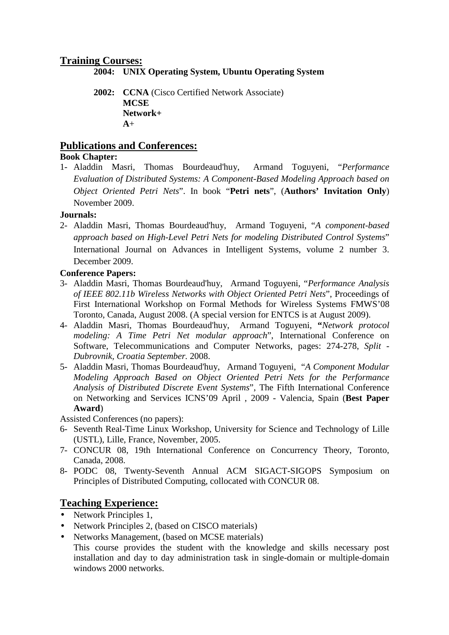#### **Training Courses:**

**2004: UNIX Operating System, Ubuntu Operating System** 

**2002: CCNA** (Cisco Certified Network Associate) **MCSE Network+ A**+

### **Publications and Conferences:**

#### **Book Chapter:**

1- Aladdin Masri, Thomas Bourdeaud'huy, Armand Toguyeni, "*Performance Evaluation of Distributed Systems: A Component-Based Modeling Approach based on Object Oriented Petri Nets*". In book "**Petri nets**", (**Authors' Invitation Only**) November 2009.

#### **Journals:**

2- Aladdin Masri, Thomas Bourdeaud'huy, Armand Toguyeni, "*A component-based approach based on High-Level Petri Nets for modeling Distributed Control Systems*" International Journal on Advances in Intelligent Systems, volume 2 number 3. December 2009.

#### **Conference Papers:**

- 3- Aladdin Masri, Thomas Bourdeaud'huy, Armand Toguyeni, "*Performance Analysis of IEEE 802.11b Wireless Networks with Object Oriented Petri Nets*", Proceedings of First International Workshop on Formal Methods for Wireless Systems FMWS'08 Toronto, Canada, August 2008. (A special version for ENTCS is at August 2009).
- 4- Aladdin Masri, Thomas Bourdeaud'huy, Armand Toguyeni, **"***Network protocol modeling: A Time Petri Net modular approach*", International Conference on Software, Telecommunications and Computer Networks, pages: 274-278, *Split - Dubrovnik, Croatia September.* 2008.
- 5- Aladdin Masri, Thomas Bourdeaud'huy, Armand Toguyeni, "*A Component Modular Modeling Approach Based on Object Oriented Petri Nets for the Performance Analysis of Distributed Discrete Event Systems*", The Fifth International Conference on Networking and Services ICNS'09 April , 2009 - Valencia, Spain (**Best Paper Award**)

Assisted Conferences (no papers):

- 6- Seventh Real-Time Linux Workshop, University for Science and Technology of Lille (USTL), Lille, France, November, 2005.
- 7- CONCUR 08, 19th International Conference on Concurrency Theory, Toronto, Canada, 2008.
- 8- PODC 08, Twenty-Seventh Annual ACM SIGACT-SIGOPS Symposium on Principles of Distributed Computing, collocated with CONCUR 08.

### **Teaching Experience:**

- Network Principles 1,
- Network Principles 2, (based on CISCO materials)
- Networks Management, (based on MCSE materials)

This course provides the student with the knowledge and skills necessary post installation and day to day administration task in single-domain or multiple-domain windows 2000 networks.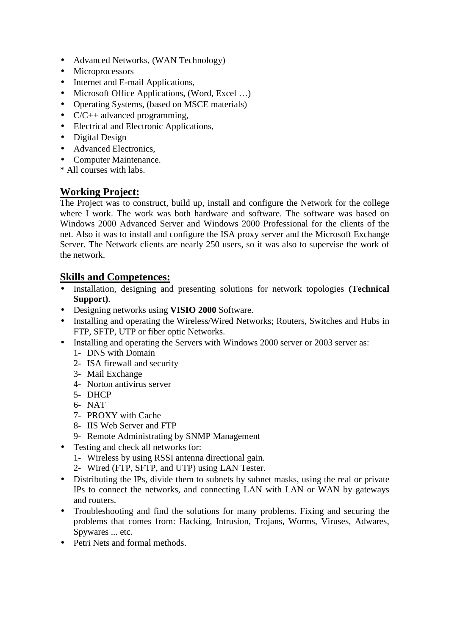- Advanced Networks, (WAN Technology)
- Microprocessors
- Internet and E-mail Applications,
- Microsoft Office Applications, (Word, Excel ...)
- Operating Systems, (based on MSCE materials)
- C/C++ advanced programming,
- Electrical and Electronic Applications,
- Digital Design
- Advanced Electronics,
- Computer Maintenance.
- \* All courses with labs.

# **Working Project:**

The Project was to construct, build up, install and configure the Network for the college where I work. The work was both hardware and software. The software was based on Windows 2000 Advanced Server and Windows 2000 Professional for the clients of the net. Also it was to install and configure the ISA proxy server and the Microsoft Exchange Server. The Network clients are nearly 250 users, so it was also to supervise the work of the network.

# **Skills and Competences:**

- Installation, designing and presenting solutions for network topologies **(Technical Support)**.
- Designing networks using **VISIO 2000** Software.
- Installing and operating the Wireless/Wired Networks; Routers, Switches and Hubs in FTP, SFTP, UTP or fiber optic Networks.
- Installing and operating the Servers with Windows 2000 server or 2003 server as:
	- 1- DNS with Domain
	- 2- ISA firewall and security
	- 3- Mail Exchange
	- 4- Norton antivirus server
	- 5- DHCP
	- 6- NAT
	- 7- PROXY with Cache
	- 8- IIS Web Server and FTP
	- 9- Remote Administrating by SNMP Management
- Testing and check all networks for:
	- 1- Wireless by using RSSI antenna directional gain.
	- 2- Wired (FTP, SFTP, and UTP) using LAN Tester.
- Distributing the IPs, divide them to subnets by subnet masks, using the real or private IPs to connect the networks, and connecting LAN with LAN or WAN by gateways and routers.
- Troubleshooting and find the solutions for many problems. Fixing and securing the problems that comes from: Hacking, Intrusion, Trojans, Worms, Viruses, Adwares, Spywares ... etc.
- Petri Nets and formal methods.